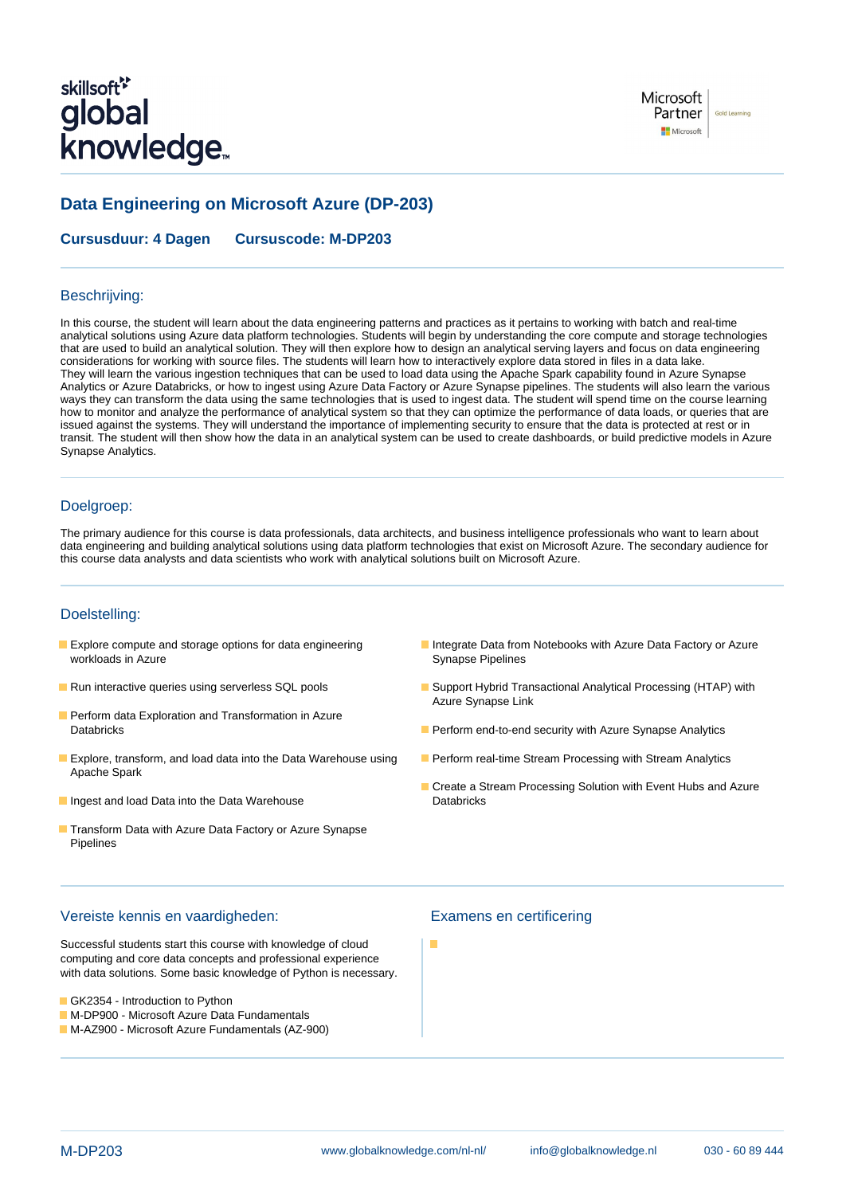# skillsoft<sup>\*</sup> global **knowledge**

## **Data Engineering on Microsoft Azure (DP-203)**

**Cursusduur: 4 Dagen Cursuscode: M-DP203**

#### Beschrijving:

In this course, the student will learn about the data engineering patterns and practices as it pertains to working with batch and real-time analytical solutions using Azure data platform technologies. Students will begin by understanding the core compute and storage technologies that are used to build an analytical solution. They will then explore how to design an analytical serving layers and focus on data engineering considerations for working with source files. The students will learn how to interactively explore data stored in files in a data lake. They will learn the various ingestion techniques that can be used to load data using the Apache Spark capability found in Azure Synapse Analytics or Azure Databricks, or how to ingest using Azure Data Factory or Azure Synapse pipelines. The students will also learn the various ways they can transform the data using the same technologies that is used to ingest data. The student will spend time on the course learning how to monitor and analyze the performance of analytical system so that they can optimize the performance of data loads, or queries that are issued against the systems. They will understand the importance of implementing security to ensure that the data is protected at rest or in transit. The student will then show how the data in an analytical system can be used to create dashboards, or build predictive models in Azure Synapse Analytics.

#### Doelgroep:

The primary audience for this course is data professionals, data architects, and business intelligence professionals who want to learn about data engineering and building analytical solutions using data platform technologies that exist on Microsoft Azure. The secondary audience for this course data analysts and data scientists who work with analytical solutions built on Microsoft Azure.

### Doelstelling:

- workloads in Azure **Synapse Pipelines** Synapse Pipelines
- 
- **Perform data Exploration and Transformation in Azure**
- **Explore, transform, and load data into the Data Warehouse using Perform real-time Stream Processing with Stream Analytics** Apache Spark
- Ingest and load Data into the Data Warehouse Interventional Databricks
- **Transform Data with Azure Data Factory or Azure Synapse** Pipelines
- **Explore compute and storage options for data engineering Integrate Data from Notebooks with Azure Data Factory or Azure**
- Run interactive queries using serverless SQL pools Support Support Hybrid Transactional Analytical Processing (HTAP) with Azure Synapse Link
	- Databricks **Perform end-to-end security with Azure Synapse Analytics Perform end-to-end security with Azure Synapse Analytics** 
		-
		- Create a Stream Processing Solution with Event Hubs and Azure

#### Vereiste kennis en vaardigheden: Examens en certificering

Successful students start this course with knowledge of cloud computing and core data concepts and professional experience with data solutions. Some basic knowledge of Python is necessary.

- GK2354 Introduction to Python
- **M-DP900 Microsoft Azure Data Fundamentals**
- M-AZ900 Microsoft Azure Fundamentals (AZ-900)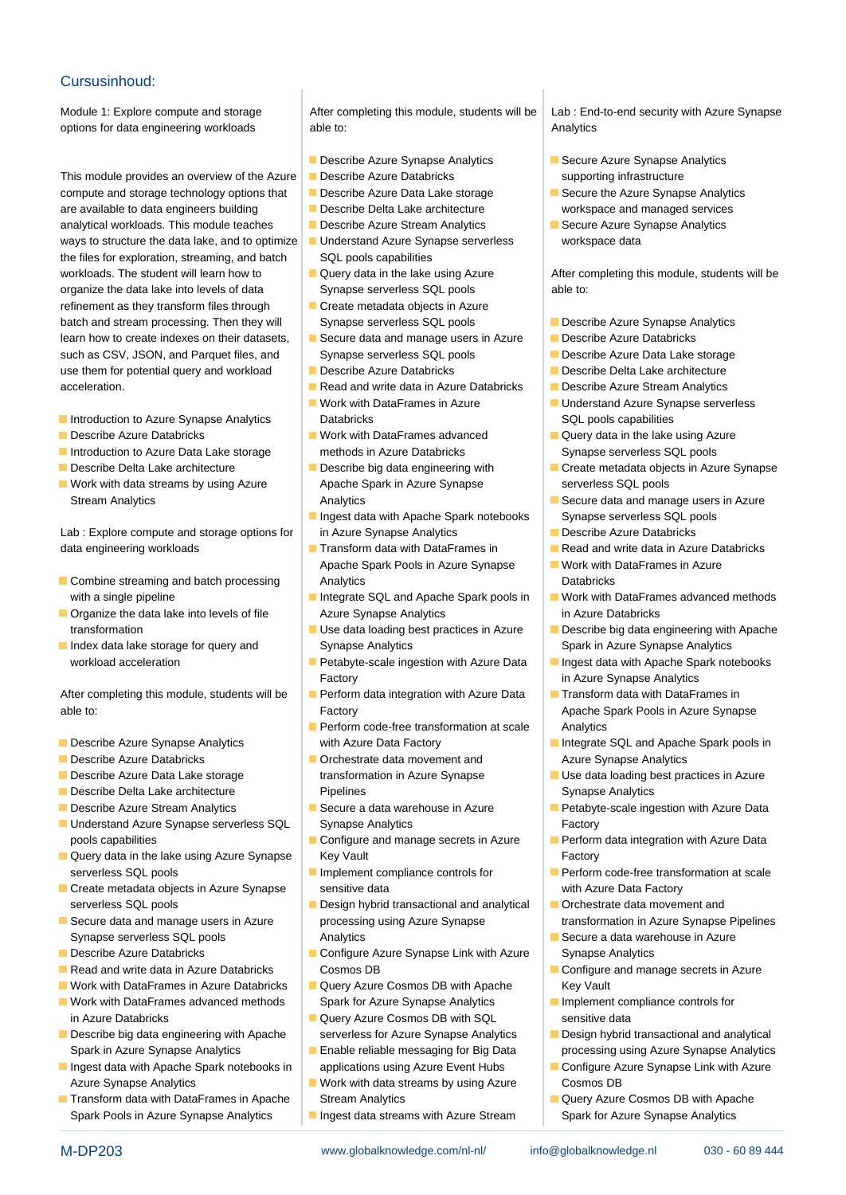#### Cursusinhoud:

This module provides an overview of the Azure **Describe Azure Databricks** supporting infrastructure compute and storage technology options that Describe Azure Data Lake storage Secure the Azure Synapse Analytics are available to data engineers building **Describe Delta Lake architecture** workspace and managed services analytical workloads. This module teaches **Describe Azure Stream Analytics Describe Analytics** Synapse Analytics ways to structure the data lake, and to optimize Understand Azure Synapse serverless workspace data the files for exploration, streaming, and batch  $\Box$  SQL pools capabilities workloads. The student will learn how to  $\Box$  Query data in the lake using Azure After completing this module, students will be organize the data lake into levels of data Synapse serverless SQL pools able to: refinement as they transform files through  $\Box$  Create metadata objects in Azure batch and stream processing. Then they will Synapse serverless SQL pools **Describe Azure Synapse Analytics** learn how to create indexes on their datasets, **Secure data and manage users in Azure** Describe Azure Databricks such as CSV, JSON, and Parquet files, and Synapse serverless SQL pools **Describe Azure Data Lake storage** use them for potential query and workload Describe Azure Databricks Describe Describe Delta Lake architecture acceleration. The read and write data in Azure Databricks **Describe Azure Stream Analytics** 

- **Introduction to Azure Synapse Analytics** Databricks Databricks SQL pools capabilities
- 
- 
- 
- Work with data streams by using Azure Apache Spark in Azure Synapse serverless SQL pools

Lab : Explore compute and storage options for in Azure Synapse Analytics **Describe Azure Databricks** data engineering workloads **Transform data with DataFrames in** Read and write data in Azure Databricks

- **Combine streaming and batch processing Analytics Combine Streaming and batch processing Analytics** Analytics Databricks
- 
- 

able to: **Factory Factory Apache Spark Pools in Azure Synapse Apache Spark Pools in Azure Synapse** 

- 
- 
- 
- **Describe Delta Lake architecture Community Pipelines** Pipelines Synapse Analytics
- 
- Understand Azure Synapse serverless SQL Synapse Analytics Factory pools capabilities **Configure and manage secrets in Azure** Perform data integration with Azure Data
- **Query data in the lake using Azure Synapse** Key Vault **Key Vault** Factory serverless SQL pools **Implement compliance controls for** Perform code-free transformation at scale
- **Create metadata objects in Azure Synapse** sensitive data sensitive data with Azure Data Factory serverless SQL pools **Design hybrid transactional and analytical Department and analytical Design hybrid transactional and analytical Department and analytical Design hybrid transactional and analytical Department and anal**
- Synapse serverless SQL pools **Analytics** Analytics Secure a data warehouse in Azure a metal warehouse in Azure
- 
- 
- 
- in Azure Databricks **Conserversitive Cosmos DB with SQL** sensitive data
- Describe big data engineering with Apache serverless for Azure Synapse Analytics **Design hybrid transactional and analytical** Spark in Azure Synapse Analytics **Enable reliable messaging for Big Data** processing using Azure Synapse Analytics
- Azure Synapse Analytics **Work with data streams by using Azure** Cosmos DB
- Spark Pools in Azure Synapse Analytics Ingest data streams with Azure Stream Spark for Azure Synapse Analytics

Module 1: Explore compute and storage After completing this module, students will be Lab : End-to-end security with Azure Synapse options for data engineering workloads able to: Analytics able to: Analytics able to: Analytics able to: Analytics able to: Analytics able to: Analytics able to: Analytics able to: Analytics able to: Analytics able to: Ana

- Describe Azure Synapse Analytics **Synapse Analytics** Secure Azure Synapse Analytics
- 

line line line

- 
- 
- 
- 
- 
- 
- 
- 
- **If** Work with DataFrames in Azure **Understand Azure Synapse serverless**
- Describe Azure Databricks North Work with DataFrames advanced North Query data in the lake using Azure Introduction to Azure Data Lake storage methods in Azure Databricks Synapse serverless SQL pools
	-
	- Ingest data with Apache Spark notebooks Synapse serverless SQL pools
	- Apache Spark Pools in Azure Synapse Work with DataFrames in Azure
- **Dreno Interval and Synapse Analytics Conservative Conservation** Azure Synapse Analytics in Azure Databricks
- Index data lake storage for query and Synapse Analytics Synapse Analytics Spark in Azure Synapse Analytics
	- workload acceleration **Petabyte-scale ingestion with Azure Data Ingest data with Apache Spark notebooks** Factory **in Azure Synapse Analytics**
- After completing this module, students will be **Perform data integration with Azure Data**  $\blacksquare$  Transform data with DataFrames in
- **Perform code-free transformation at scale Analytics Describe Azure Synapse Analytics** with Azure Data Factory **Integrate SQL and Apache Spark pools in**
- **Describe Azure Databricks Orchestrate data movement and Azure Synapse Analytics** 
	-
	-
	-
- **Secure data and manage users in Azure** processing using Azure Synapse **Synapse** transformation in Azure Synapse Pipelines
- Describe Azure Databricks Configure Azure Synapse Link with Azure Synapse Analytics Read and write data in Azure Databricks Cosmos DB Cosmos CR Cosmos CR Configure and manage secrets in Azure
- Work with DataFrames in Azure Databricks |■ Query Azure Cosmos DB with Apache Key Vault ■ Work with DataFrames advanced methods Spark for Azure Synapse Analytics Implement compliance controls for
	-
	-
- Transform data with DataFrames in Apache Stream Analytics Query Azure Cosmos DB with Apache
	-

- 
- 
- 

- 
- 
- 
- 
- 
- 
- 
- Describe Delta Lake architecture **Describe big data engineering with** Create metadata objects in Azure Synapse
	- Stream Analytics **Analytics** Analytics Analytics **Analytics** Stream Analytics **Secure data and manage users in Azure** 
		-
		-
		-
	- with a single pipeline **Integrate SQL and Apache Spark pools in** Work with DataFrames advanced methods
	- transformation **Example 2018** Use data loading best practices in Azure Describe big data engineering with Apache
		-
		-
		-
- Describe Azure Data Lake storage **the stand in Azure Synapse** Use data loading best practices in Azure Use data loading best practices in Azure
- **Describe Azure Stream Analytics** Secure a data warehouse in Azure Petabyte-scale ingestion with Azure Data
	-
	-
	-
	-
	-
	-
	-
- Ingest data with Apache Spark notebooks in applications using Azure Event Hubs Configure Azure Synapse Link with Azure
	-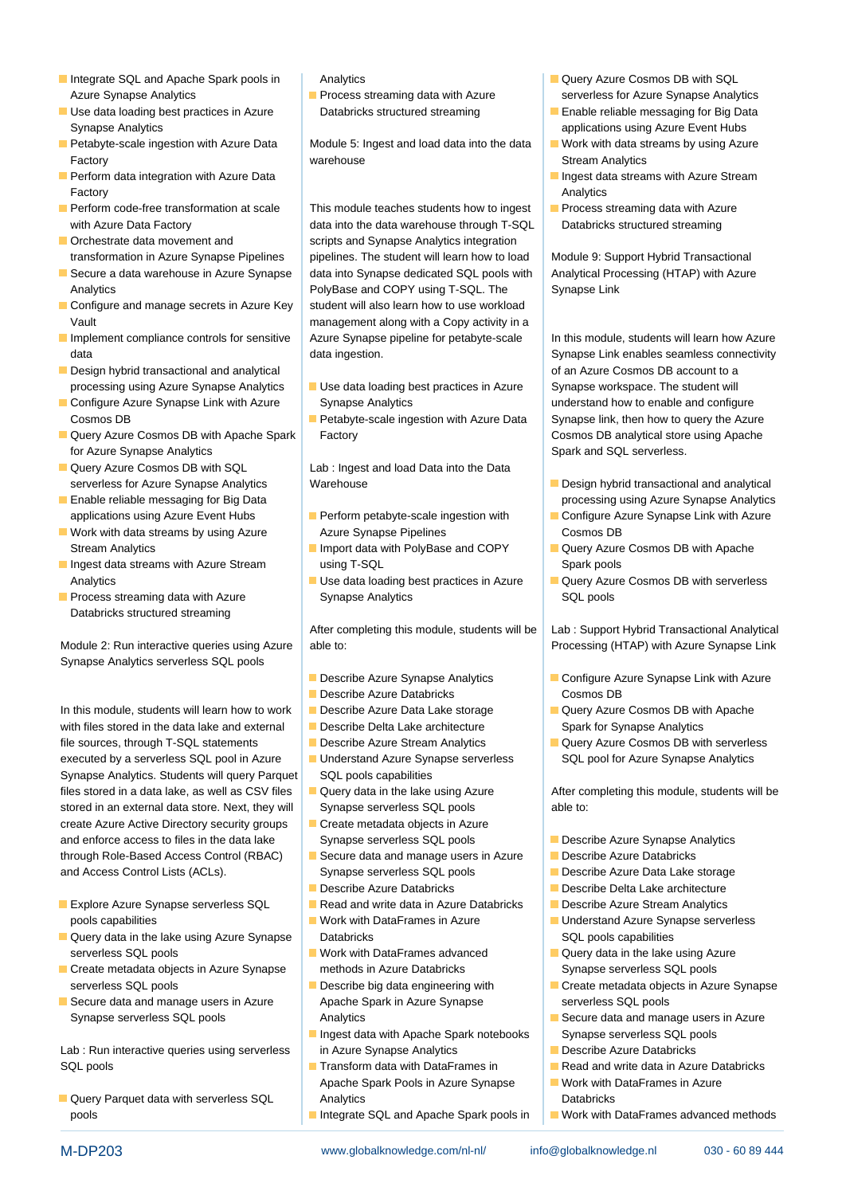- Integrate SQL and Apache Spark pools in Analytics Query Azure Cosmos DB with SQL Azure Synapse Analytics **Process streaming data with Azure Synapse Analytics** serverless for Azure Synapse Analytics
- Use data loading best practices in Azure Databricks structured streaming Enable reliable messaging for Big Data
- Petabyte-scale ingestion with Azure Data Module 5: Ingest and load data into the data Work with data streams by using Azure
- Factory Analytics
- 
- 
- Secure a data warehouse in Azure Synapse data into Synapse dedicated SQL pools with Analytical Processing (HTAP) with Azure Analytics **PolyBase and COPY using T-SQL. The Synapse Link**
- $\blacksquare$  Configure and manage secrets in Azure Key  $\vert$  student will also learn how to use workload Vault management along with a Copy activity in a
- Implement compliance controls for sensitive Azure Synapse pipeline for petabyte-scale In this module, students will learn how Azure
- Design hybrid transactional and analytical line of an Azure Cosmos DB account to a cosmos DB account to a processing using Azure Synapse Analytics Use data loading best practices in Azure Synapse workspace. The student will
- Cosmos DB **Petabyte-scale ingestion with Azure Data** Synapse link, then how to query the Azure
- **Query Azure Cosmos DB with Apache Spark Factory Cosmos Cosmos DB analytical store using Apache** for Azure Synapse Analytics **Spark and SQL serverless.** Spark and SQL serverless.
- Query Azure Cosmos DB with SQL Lab : Ingest and load Data into the Data
- **Enable reliable messaging for Big Data** line processing using Azure Synapse Analytics **line processing using Azure Synapse Analytics**
- Work with data streams by using Azure Azure Synapse Pipelines Cosmos DB
- **Ingest data streams with Azure Stream Access Access Access Access Access Access** Access Agreement Property Access Access Agreement Access Access Access Agreement Access Access Access Access Access Access Access Access Acc
- Databricks structured streaming

Module 2: Run interactive queries using Azure able to: <br> **Example 2: Run interactive queries using Azure** able to: **Processing (HTAP)** with Azure Synapse Link Synapse Analytics serverless SQL pools

In this module, students will learn how to work **D**escribe Azure Data Lake storage  $\Box$  Query Azure Cosmos DB with Apache with files stored in the data lake and external Describe Delta Lake architecture Spark for Synapse Analytics file sources, through T-SQL statements Describe Azure Stream Analytics **Describe Azure Cosmos DB with serverless** executed by a serverless SQL pool in Azure Understand Azure Synapse serverless SQL pool for Azure Synapse Analytics Synapse Analytics. Students will query Parquet SQL pools capabilities files stored in a data lake, as well as CSV files | Query data in the lake using Azure After completing this module, students will be stored in an external data store. Next, they will Synapse serverless SQL pools able to: create Azure Active Directory security groups **Create metadata objects in Azure** and enforce access to files in the data lake Synapse serverless SQL pools **Describe Azure Synapse Analytics** through Role-Based Access Control (RBAC) Secure data and manage users in Azure Describe Azure Databricks and Access Control Lists (ACLs). Synapse serverless SQL pools **Describe Azure Data Lake storage** 

- **Explore Azure Synapse serverless SQL Read and write data in Azure Databricks Describe Azure Stream Analytics**
- **Query data in the lake using Azure Synapse** Databricks **Databricks** SQL pools capabilities serverless SQL pools **Work with DataFrames advanced** Query data in the lake using Azure
- **Create metadata objects in Azure Synapse** methods in Azure Databricks Synapse serverless SQL pools serverless SQL pools **Describe big data engineering with** Create metadata objects in Azure Synapse
- Secure data and manage users in Azure Apache Spark in Azure Synapse serverless SQL pools Synapse serverless SQL pools **Analytics** Analytics Secure data and manage users in Azure

SQL pools **Transform data with DataFrames in** Read and write data in Azure Databricks

**Designal Analytics Databricks Databricks Databricks Databricks Databricks** 

- 
- 

Factory **Stream Analytics** Stream Analytics **Stream Analytics** Stream Analytics

Perform code-free transformation at scale This module teaches students how to ingest **P** Process streaming data with Azure with Azure Data Factory **data into the data warehouse through T-SQL** Databricks structured streaming ■ Orchestrate data movement and scripts and Synapse Analytics integration transformation in Azure Synapse Pipelines | pipelines. The student will learn how to load | Module 9: Support Hybrid Transactional

- Configure Azure Synapse Link with Azure Synapse Analytics Synapse Synapse Analytics and Configure and configure
	-

- 
- 
- Analytics **National Indianal Constructs In Azure Cosmos Data and Development Cosmos DB with serverless Process streaming data with Azure** Synapse Analytics **SQL pools** SQL pools

After completing this module, students will be Lab : Support Hybrid Transactional Analytical

- 
- **Describe Azure Databricks** Cosmos DB
- 
- 
- 
- 
- 
- 
- 
- 
- 
- 
- 
- 
- Ingest data with Apache Spark notebooks Synapse serverless SQL pools Lab : Run interactive queries using serverless in Azure Synapse Analytics **Describe Azure Databricks** 
	- Apache Spark Pools in Azure Synapse Work with DataFrames in Azure
	-
- 
- Synapse Analytics **applications using Azure Event Hubs** applications using Azure Event Hubs
	-
- **Perform data integration with Azure Data** line Indiana line Indiana line Ingest data streams with Azure Stream
	-

data data ingestion. Synapse Link enables seamless connectivity data ingestion.

- serverless for Azure Synapse Analytics Warehouse Warehouse Design hybrid transactional and analytical
- applications using Azure Event Hubs **Perform petabyte-scale ingestion with** Configure Azure Synapse Link with Azure
- Stream Analytics **Import data with PolyBase and COPY** Query Azure Cosmos DB with Apache
	-

- **Describe Azure Synapse Analytics Configure Azure Synapse Link with Azure** 
	-
	-

- 
- 
- 
- Describe Azure Databricks Describe Delta Lake architecture
	-
- pools capabilities **Work with DataFrames in Azure** Understand Azure Synapse serverless
	-
	-
	-
	-
	-
	-
- **Integrate SQL and Apache Spark pools in Work with DataFrames advanced methods** in pools in Work with DataFrames advanced methods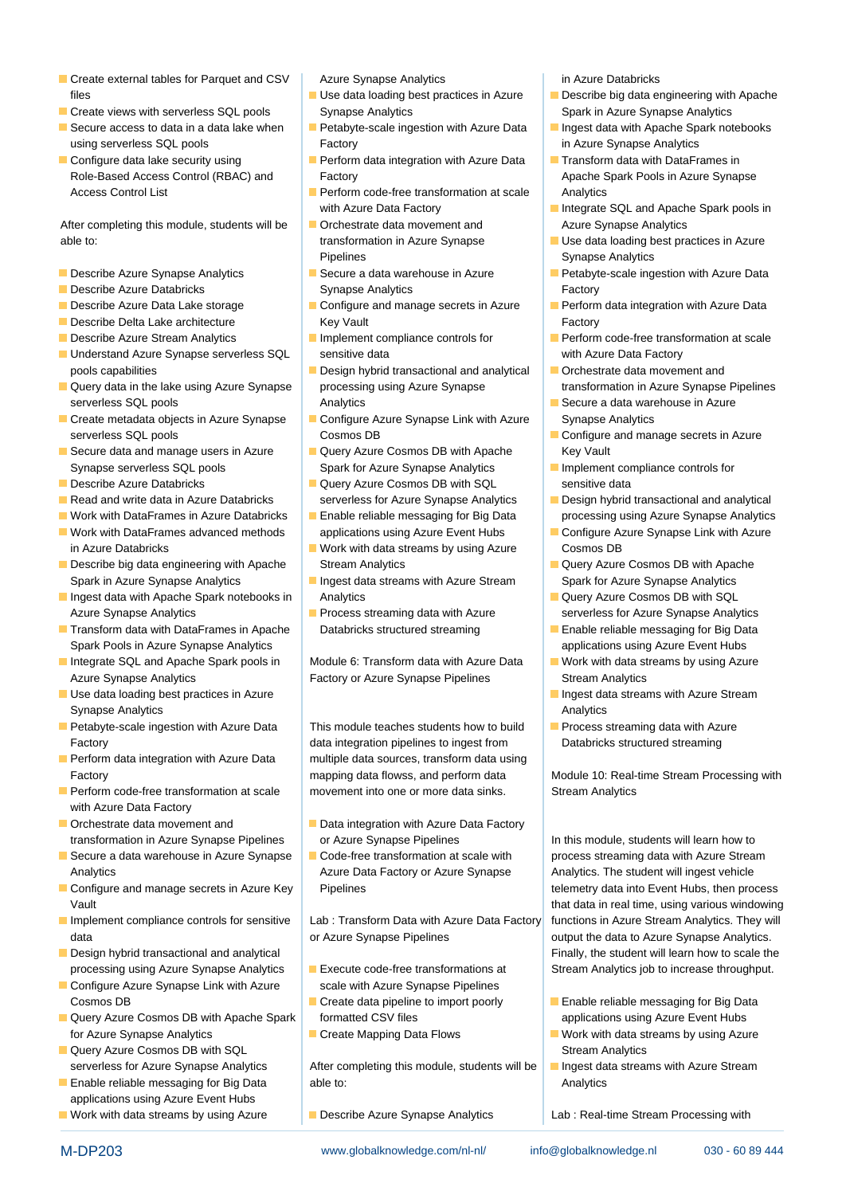- Create external tables for Parquet and CSV | Azure Synapse Analytics | in Azure Databricks
- 
- Secure access to data in a data lake when  $\Box$  Petabyte-scale ingestion with Azure Data  $\Box$  Ingest data with Apache Spark notebooks using serverless SQL pools **Factory** Factory **Factory** in Azure Synapse Analytics
- Configure data lake security using Perform data integration with Azure Data Transform data with DataFrames in

After completing this module, students will be **D**Orchestrate data movement and Azure Synapse Analytics able to: transformation in Azure Synapse Use data loading best practices in Azure

- 
- 
- 
- 
- 
- Understand Azure Synapse serverless SQL sensitive data with Azure Data Factory pools capabilities **Design hybrid transactional and analytical Development and analytical Design hybrid transactional and analytical Development and analytical Development and**
- **Query data in the lake using Azure Synapse** processing using Azure Synapse transformation in Azure Synapse Pipelines serverless SQL pools **Analytics** Analytics **Analytics** SQL pools Azure a data warehouse in Azure
- $\blacksquare$  Create metadata objects in Azure Synapse  $\blacksquare$  Configure Azure Synapse Link with Azure Synapse Analytics serverless SQL pools **Cosmos DB** Cosmos DB **Configure and manage secrets in Azure**
- Secure data and manage users in Azure **Query Azure Cosmos DB with Apache** Key Vault Synapse serverless SQL pools Spark for Azure Synapse Analytics **Implement compliance controls for**
- 
- 
- Work with DataFrames in Azure Databricks |■ Enable reliable messaging for Big Data | processing using Azure Synapse Analytics
- Work with DataFrames advanced methods applications using Azure Event Hubs Configure Azure Synapse Link with Azure in Azure Databricks Work with data streams by using Azure Cosmos DB
- Describe big data engineering with Apache Stream Analytics Query Azure Cosmos DB with Apache Spark in Azure Synapse Analytics **Ingest data streams with Azure Stream** Spark for Azure Synapse Analytics
- Ingest data with Apache Spark notebooks in Analytics **Query Azure Cosmos DB with SQL** Ingest data with Apache Spark notebooks in Analytics Azure Synapse Analytics **Process streaming data with Azure Synapse Analytics** serverless for Azure Synapse Analytics
- Transform data with DataFrames in Apache Databricks structured streaming Enable reliable messaging for Big Data Spark Pools in Azure Synapse Analytics and the state of the state applications using Azure Event Hubs
- Integrate SQL and Apache Spark pools in Module 6: Transform data with Azure Data Work with data streams by using Azure
- Use data loading best practices in Azure line International Index of Ingest data streams with Azure Stream Synapse Analytics **Analytics** Analytics **Analytics** Analytics **Analytics** Analytics **Analytics**
- **Petabyte-scale ingestion with Azure Data** This module teaches students how to build **P** Process streaming data with Azure
- 
- with Azure Data Factory
- 
- Secure a data warehouse in Azure Synapse **Code-free transformation at scale with** process streaming data with Azure Stream Analytics **Azure Data Factory or Azure Synapse** Analytics. The student will ingest vehicle
- Configure and manage secrets in Azure Key Pipelines telemetry data into Event Hubs, then process
- **Implement compliance controls for sensitive** | Lab : Transform Data with Azure Data Factory functions in Azure Stream Analytics. They will
- 
- Configure Azure Synapse Link with Azure scale with Azure Synapse Pipelines Cosmos DB **Create data pipeline to import poorly** Enable reliable messaging for Big Data
- **Query Azure Cosmos DB with Apache Spark applications using Azure Event Hubs** applications using Azure Event Hubs for Azure Synapse Analytics **Create Mapping Data Flows** Work with data streams by using Azure
- **Design Act 2018 Cosmos DB with SQL Stream Analytics Cosmos DB with SQL** Stream Analytics
- applications using Azure Event Hubs
- Work with data streams by using Azure **Describe Azure Synapse Analytics** Lab : Real-time Stream Processing with

- **Create views with serverless SQL pools** Synapse Analytics Synapse Analytics Spark in Azure Synapse Analytics
	-
	- Role-Based Access Control (RBAC) and Factory **Access Control CRAC**) and Factory **Apache Spark Pools in Azure Synapse**
	- Access Control List **Perform code-free transformation at scale** Analytics with Azure Data Factory **Integrate SQL and Apache Spark pools in** 
		- Pipelines **Synapse Analytics**
- **Describe Azure Databricks** Controllery Synapse Analytics Factory **Factory**
- **Describe Delta Lake architecture Communisties Communisties Architecture Communisties Architecture Communisties Communisties Architecture Communisties Architecture Communisties Architecture Communisties Architecture Commun** 
	-
	-
	-
	-
- Describe Azure Databricks **Query Azure Cosmos DB with SQL** sensitive data
	-
	-
	-
	-
	-

Azure Synapse Analytics **Factory or Azure Synapse Pipelines** Stream Analytics Stream Analytics

Factory **Example 2** data integration pipelines to ingest from **Databricks structured streaming Perform data integration with Azure Data** multiple data sources, transform data using **Perform code-free transformation at scale endomoneration one or more data sinks.** Stream Analytics

- Orchestrate data movement and Data integration with Azure Data Factory transformation in Azure Synapse Pipelines or Azure Synapse Pipelines In this module, students will learn how to
	-

data **or Azure Synapse Pipelines** or Azure Synapse Analytics.

- 
- 
- 

serverless for Azure Synapse Analytics | After completing this module, students will be | Ingest data streams with Azure Stream **Enable reliable messaging for Big Data** able to: **Analytics** Analytics

- files **Example 20** Use data loading best practices in Azure **Describe big data engineering with Apache** 
	-
	-
	-
	-
- Describe Azure Synapse Analytics Secure a data warehouse in Azure Petabyte-scale ingestion with Azure Data
- Describe Azure Data Lake storage **Configure and manage secrets in Azure** Perform data integration with Azure Data
- **Describe Azure Stream Analytics IMPLEM** Implement compliance controls for **Perform code-free transformation at scale** 
	-
	-
	-
	-
- Read and write data in Azure Databricks serverless for Azure Synapse Analytics **Design hybrid transactional and analytical** 
	-
	-
	-
	-
	-
	-
	-

Factory **Example 10:** Factory mapping data flowss, and perform data Module 10: Real-time Stream Processing with

Vault that data in real time, using various windowing various windowing various windowing **Design hybrid transactional and analytical ine Finally, the student will learn how to scale the** processing using Azure Synapse Analytics Execute code-free transformations at Stream Analytics job to increase throughput.

- 
- 
- 
-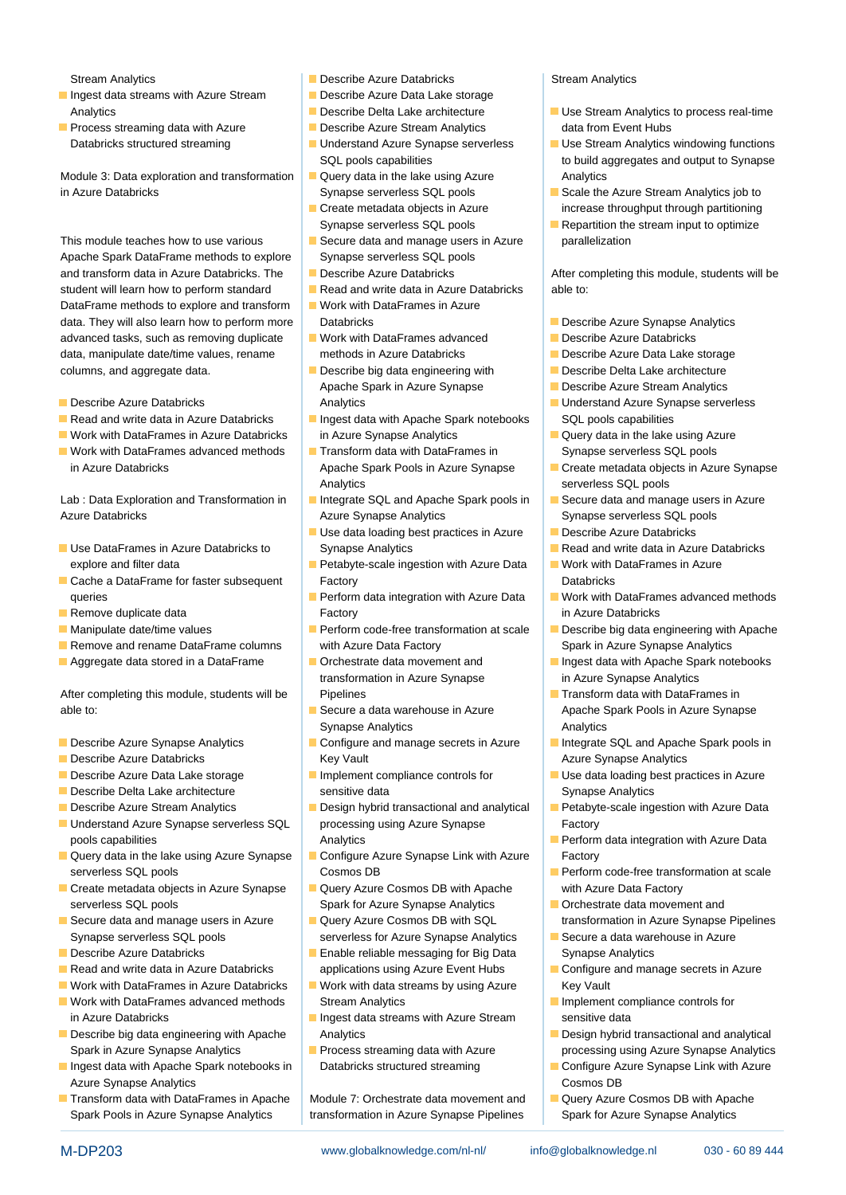- Ingest data streams with Azure Stream  $\Box$  Describe Azure Data Lake storage
- **Process streaming data with Azure Community Construction Constraint Process streaming data with Azure Community Construction Construction Construction Construction Construction Construction Construction Construction Const**

Module 3: Data exploration and transformation  $\Box$  Query data in the lake using Azure Analytics in Azure Databricks Superverse Synapse serverless SQL pools Scale the Azure Stream Analytics job to

Apache Spark DataFrame methods to explore Synapse serverless SQL pools and transform data in Azure Databricks. The Describe Azure Databricks After completing this module, students will be student will learn how to perform standard **Read and write data in Azure Databricks** able to: DataFrame methods to explore and transform  $\Box$  Work with DataFrames in Azure data. They will also learn how to perform more Databricks Describe Azure Synapse Analytics Describe Azure Synapse Analytics advanced tasks, such as removing duplicate Work with DataFrames advanced Describe Azure Databricks data, manipulate date/time values, rename methods in Azure Databricks **Describe Azure Data Lake storage** columns, and aggregate data. **Describe big data engineering with** Describe Delta Lake architecture

- 
- Read and write data in Azure Databricks  $\Box$  Ingest data with Apache Spark notebooks  $\Box$  SQL pools capabilities
- Work with DataFrames in Azure Databricks in Azure Synapse Analytics Query data in the lake using Azure
- Work with DataFrames advanced methods  $\Box$  Transform data with DataFrames in Synapse serverless SQL pools in Azure Databricks **Apache Spark Pools in Azure Synapse** Create metadata objects in Azure Synapse

Azure Databricks **Azure Synapse Analytics** Synapse serverless SQL pools Azure Synapse Analytics SQL pools and Synapse serverless SQL pools

- explore and filter data **Petabyte-scale ingestion with Azure Data** Work with DataFrames in Azure
- Cache a DataFrame for faster subsequent Factory **Databricks** Databricks
- 
- 
- 
- 

After completing this module, students will be Pipelines Transform data with DataFrames in able to: Secure a data warehouse in Azure Apache Spark Pools in Azure Synapse

- 
- 
- 
- 
- 
- pools capabilities **Analytics** Analytics **Perform data integration with Azure Data** integration with Azure Data
- Query data in the lake using Azure Synapse Configure Azure Synapse Link with Azure Factory serverless SQL pools **Cosmos DB Cosmos DB Perform code-free transformation at scale**
- Create metadata objects in Azure Synapse | Query Azure Cosmos DB with Apache | with Azure Data Factory serverless SQL pools Spark for Azure Synapse Analytics **Starburg Corpus** Corporation and
- Synapse serverless SQL pools serverless for Azure Synapse Analytics Secure a data warehouse in Azure
- 
- Read and write data in Azure Databricks | applications using Azure Event Hubs | Configure and manage secrets in Azure
- 
- in Azure Databricks **Ingest data streams with Azure Stream** sensitive data
- Describe big data engineering with Apache Analytics **Analytics** Design hybrid transactional and analytical Spark in Azure Synapse Analytics **Process streaming data with Azure** Processing using Azure Synapse Analytics
- Azure Synapse Analytics **Cosmos DB Cosmos DB Cosmos DB**
- Spark Pools in Azure Synapse Analytics transformation in Azure Synapse Pipelines Spark for Azure Synapse Analytics
- Stream Analytics **Describe Azure Databricks** Stream Analytics Stream Analytics **Stream Analytics** 
	-
	-
	-
	-
	-
	-
- This module teaches how to use various Secure data and manage users in Azure parallelization
	-
	-
	-
	-
- Apache Spark in Azure Synapse Describe Azure Stream Analytics ■ Describe Azure Databricks Note and Analytics Note and Azure Synapse serverless Note and Azure Synapse serverless
	-
	- Analytics **SQL pools** serverless SQL pools
- Lab : Data Exploration and Transformation in | Integrate SQL and Apache Spark pools in | IS Secure data and manage users in Azure
- Use data loading best practices in Azure Describe Azure Databricks Use DataFrames in Azure Databricks to Synapse Analytics Read and write data in Azure Databricks Read and write data in Azure Databricks
	-
- **Remove duplicate data** Factory **Factory** in Azure Databricks
- **Manipulate date/time values Perform code-free transformation at scale** Describe big data engineering with Apache **Remove and rename DataFrame columns** with Azure Data Factory Spark in Azure Synapse Analytics
	- transformation in Azure Synapse **in Azure Synapse Analytics**
	- **Synapse Analytics** Analytics Analytics Analytics Analytics
- **Describe Azure Databricks** Analytics **Key Vault Azure Synapse Analytics Azure Synapse Analytics**
- **Describe Delta Lake architecture** sensitive data Synapse Analytics
- Understand Azure Synapse serverless SQL processing using Azure Synapse Factory
	-
	-
	-
- **Describe Azure Databricks Enable reliable messaging for Big Data** Synapse Analytics
- Work with DataFrames in Azure Databricks  $\Box$  Work with data streams by using Azure Key Vault ■ Work with DataFrames advanced methods Stream Analytics Implement compliance controls for
	-
	-

■ Transform data with DataFrames in Apache Nodule 7: Orchestrate data movement and Nauery Azure Cosmos DB with Apache

M-DP203 www.globalknowledge.com/nl-nl/ info@globalknowledge.nl 030 - 60 89 444

- Analytics **Describe Delta Lake architecture** Use Stream Analytics to process real-time
- Databricks structured streaming **Understand Azure Synapse serverless USE Stream Analytics windowing functions** SQL pools capabilities states to build aggregates and output to Synapse
	- Create metadata objects in Azure increase throughput through partitioning
	- Synapse serverless SQL pools **Repartition** the stream input to optimize

- 
- 
- 
- 
- 
- 
- 
- 
- 
- 
- 
- 
- queries **Perform data integration with Azure Data Work with DataFrames advanced methods** Work with DataFrames advanced methods
	-
- Aggregate data stored in a DataFrame Independent and Ingest data with Apache Spark notebooks
	-
- **Describe Azure Synapse Analytics Configure and manage secrets in Azure Integrate SQL and Apache Spark pools in**
- Describe Azure Data Lake storage Implement compliance controls for Use data loading best practices in Azure
- Describe Azure Stream Analytics **Design hybrid transactional and analytical Petabyte-scale ingestion with Azure Data** 
	-
	-
- Secure data and manage users in Azure  $\Box$  Query Azure Cosmos DB with SQL transformation in Azure Synapse Pipelines
	-
	-
	-
	-
- Ingest data with Apache Spark notebooks in Databricks structured streaming Configure Azure Synapse Link with Azure
	-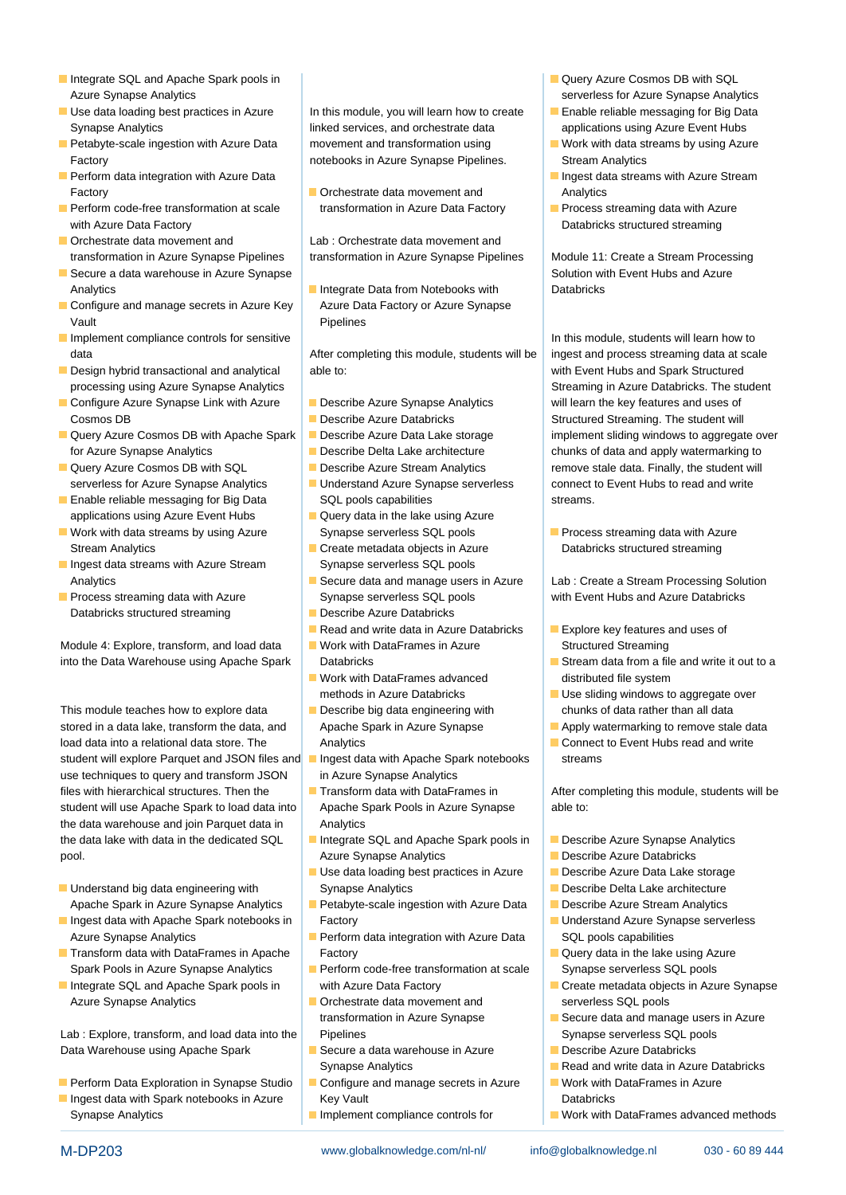- Integrate SQL and Apache Spark pools in line Query Azure Cosmos DB with SQL Azure Synapse Analytics serverless for Azure Synapse Analytics
- Use data loading best practices in Azure In this module, you will learn how to create Enable reliable messaging for Big Data
- **Petabyte-scale ingestion with Azure Data** movement and transformation using Work with data streams by using Azure
- **Factory** Critics **Constanting Critics** Critics **Constanting Critics** Critics **Constanting Critics** Critics **Constanting Critics**
- with Azure Data Factory **Databricks structured streaming Databricks structured streaming**
- Orchestrate data movement and Lab : Orchestrate data movement and
- Secure a data warehouse in Azure Synapse line Synapse line Solution with Event Hubs and Azure Synapse Analytics **Integrate Data from Notebooks with** Databricks Databricks
- Configure and manage secrets in Azure Key  $\parallel$  Azure Data Factory or Azure Synapse Vault Pipelines
- Implement compliance controls for sensitive Internal compliance in this module, students will learn how to Industrial Learn how to data **After completing this module, students will be** ingest and process streaming data at scale
- 
- Configure Azure Synapse Link with Azure **Describe Azure Synapse Analytics** will learn the key features and uses of Cosmos DB **Describe Azure Databricks** Structured Streaming. The student will
- Query Azure Cosmos DB with Apache Spark Describe Azure Data Lake storage implement sliding windows to aggregate over for Azure Synapse Analytics **Describe Delta Lake architecture** chunks of data and apply watermarking to
- 
- **Enable reliable messaging for Big Data** SQL pools capabilities streams. applications using Azure Event Hubs  $\begin{array}{|c|c|} \hline \textbf{Q} \\textbf{Q} \\textbf{Q} \\textbf{Q} \\textbf{Q} \\textbf{Q} \\textbf{Q} \\textbf{Q} \\textbf{Q} \\textbf{Q} \\textbf{Q} \\textbf{Q} \\textbf{Q} \\textbf{Q} \\textbf{Q} \\textbf{Q} \\textbf{Q} \\textbf{Q} \\textbf{Q} \\textbf{Q} \\textbf{Q} \\textbf{Q} \\textbf{Q} \\textbf{Q} \\textbf{Q} \\textbf{Q} \\textbf{Q} \\textbf{Q} \\text$
- Work with data streams by using Azure Synapse serverless SQL pools Process streaming data with Azure Stream Analytics **Create Inc.** Create metadata objects in Azure **Creative Databricks structured streaming**
- Ingest data streams with Azure Stream Synapse serverless SQL pools
- Databricks structured streaming Describe Azure Databricks

Module 4: Explore, transform, and load data Work with DataFrames in Azure Structured Streaming into the Data Warehouse using Apache Spark Databricks Stream data from a file and write it out to a

This module teaches how to explore data **Describe big data engineering with** chunks of data rather than all data stored in a data lake, transform the data, and Apache Spark in Azure Synapse **Apply watermarking to remove stale data** load data into a relational data store. The Analytics Analytics Connect to Event Hubs read and write student will explore Parquet and JSON files and Ingest data with Apache Spark notebooks streams use techniques to query and transform JSON in Azure Synapse Analytics files with hierarchical structures. Then the Transform data with DataFrames in After completing this module, students will be student will use Apache Spark to load data into Apache Spark Pools in Azure Synapse able to: the data warehouse and join Parquet data in Analytics the data lake with data in the dedicated SQL Integrate SQL and Apache Spark pools in Describe Azure Synapse Analytics pool. **Azure Synapse Analytics Describe Azure Databricks Describe Azure Databricks** 

- Understand big data engineering with Synapse Analytics Describe Describe Delta Lake architecture Apache Spark in Azure Synapse Analytics **Protestion State ingestion with Azure Data Describe Azure Stream Analytics**
- **Ingest data with Apache Spark notebooks in Factory Construction Azure Synapse Serverless Understand Azure Synapse serverless** Azure Synapse Analytics **Perform data integration with Azure Data** SQL pools capabilities
- Transform data with DataFrames in Apache Factory **Factory Azure Community** Query data in the lake using Azure Spark Pools in Azure Synapse Analytics **Perform code-free transformation at scale** Synapse serverless SQL pools
- Azure Synapse Analytics **Orchestrate data movement and serverless SQL pools**

Lab : Explore, transform, and load data into the Pipelines Synapse serverless SQL pools Data Warehouse using Apache Spark Secure a data warehouse in Azure **Describe Azure Databricks** 

- Perform Data Exploration in Synapse Studio **Configure and manage secrets in Azure** Allem Work with DataFrames in Azure
- 

Synapse Analytics **include analytics** linked services, and orchestrate data applications using Azure Event Hubs Factory **Example 2** notebooks in Azure Synapse Pipelines. Stream Analytics

Perform code-free transformation at scale transformation in Azure Data Factory Process streaming data with Azure

transformation in Azure Synapse Pipelines | transformation in Azure Synapse Pipelines | Module 11: Create a Stream Processing

**Design hybrid transactional and analytical able to:** with Event Hubs and Spark Structured

- 
- 
- 
- 
- 
- 
- 
- 
- **Process streaming data with Azure** Synapse serverless SQL pools with Event Hubs and Azure Databricks
	-
	- Read and write data in Azure Databricks **Explore key features and uses of**
	-
	- **Nork with DataFrames advanced** distributed file system
	-
	-
	-
	-
	- **Linux Use data loading best practices in Azure** Describe Azure Data Lake storage
	-
	-
- Integrate SQL and Apache Spark pools in with Azure Data Factory Create metadata objects in Azure Synapse
	-
	- Synapse Analytics **Read and write data in Azure Databricks**
- **Ingest data with Spark notebooks in Azure Key Vault Construction Constructs Constructs Constructs** Databricks
	-
- 
- 
- 
- **Perform data integration with Azure Data** line Indiana line Indiana line Ingest data streams with Azure Stream
	-

processing using Azure Synapse Analytics line Streaming in Azure Databricks. The student Query Azure Cosmos DB with SQL Describe Azure Stream Analytics remove stale data. Finally, the student will serverless for Azure Synapse Analytics Understand Azure Synapse serverless connect to Event Hubs to read and write

Analytics Secure data and manage users in Azure Lab : Create a Stream Processing Solution

- 
- 
- methods in Azure Databricks Theory Controllery Use sliding windows to aggregate over
	-
	-

- 
- 
- 
- 
- 
- 
- 
- 
- transformation in Azure Synapse **Secure data and manage users in Azure** 
	-
	-
	-
- Synapse Analytics **Implement compliance controls for Work with DataFrames advanced methods**